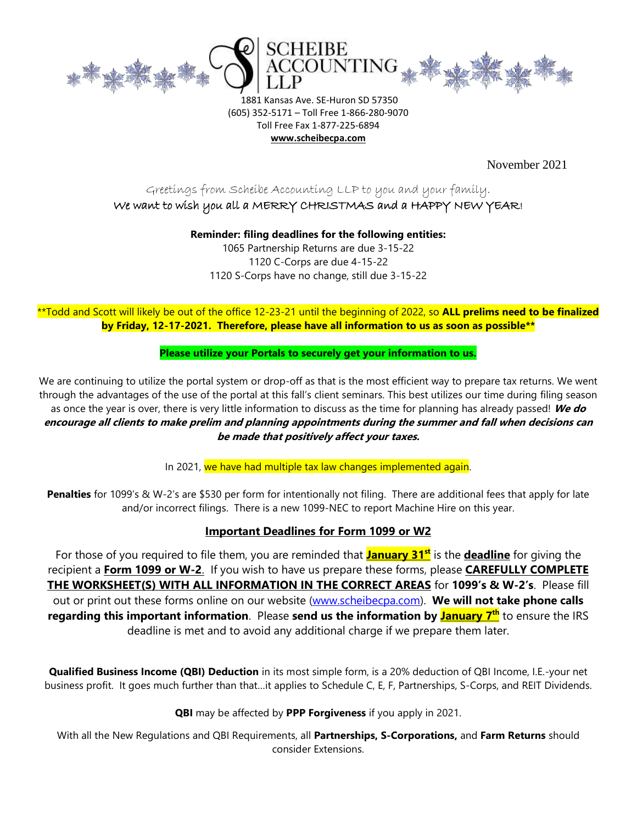

1881 Kansas Ave. SE-Huron SD 57350 (605) 352-5171 – Toll Free 1-866-280-9070 Toll Free Fax 1-877-225-6894 **www.scheibecpa.com**

November 2021

# Greetings from Scheibe Accounting LLP to you and your family. We want to wish you all a MERRY CHRISTMAS and a HAPPY NEW YEAR!

**Reminder: filing deadlines for the following entities:**

1065 Partnership Returns are due 3-15-22 1120 C-Corps are due 4-15-22 1120 S-Corps have no change, still due 3-15-22

# \*\*Todd and Scott will likely be out of the office 12-23-21 until the beginning of 2022, so **ALL prelims need to be finalized by Friday, 12-17-2021. Therefore, please have all information to us as soon as possible\*\***

### **Please utilize your Portals to securely get your information to us.**

We are continuing to utilize the portal system or drop-off as that is the most efficient way to prepare tax returns. We went through the advantages of the use of the portal at this fall's client seminars. This best utilizes our time during filing season as once the year is over, there is very little information to discuss as the time for planning has already passed! **We do encourage all clients to make prelim and planning appointments during the summer and fall when decisions can be made that positively affect your taxes.**

In 2021, we have had multiple tax law changes implemented again.

**Penalties** for 1099's & W-2's are \$530 per form for intentionally not filing. There are additional fees that apply for late and/or incorrect filings. There is a new 1099-NEC to report Machine Hire on this year.

### **Important Deadlines for Form 1099 or W2**

For those of you required to file them, you are reminded that **January 31st** is the **deadline** for giving the recipient a **Form 1099 or W-2**. If you wish to have us prepare these forms, please **CAREFULLY COMPLETE THE WORKSHEET(S) WITH ALL INFORMATION IN THE CORRECT AREAS** for **1099's & W-2's**. Please fill out or print out these forms online on our website [\(www.scheibecpa.com\)](http://www.scheibecpa.com/). **We will not take phone calls regarding this important information**. Please **send us the information by January 7 th** to ensure the IRS deadline is met and to avoid any additional charge if we prepare them later.

**Qualified Business Income (QBI) Deduction** in its most simple form, is a 20% deduction of QBI Income, I.E.-your net business profit. It goes much further than that…it applies to Schedule C, E, F, Partnerships, S-Corps, and REIT Dividends.

**QBI** may be affected by **PPP Forgiveness** if you apply in 2021.

With all the New Regulations and QBI Requirements, all **Partnerships, S-Corporations,** and **Farm Returns** should consider Extensions.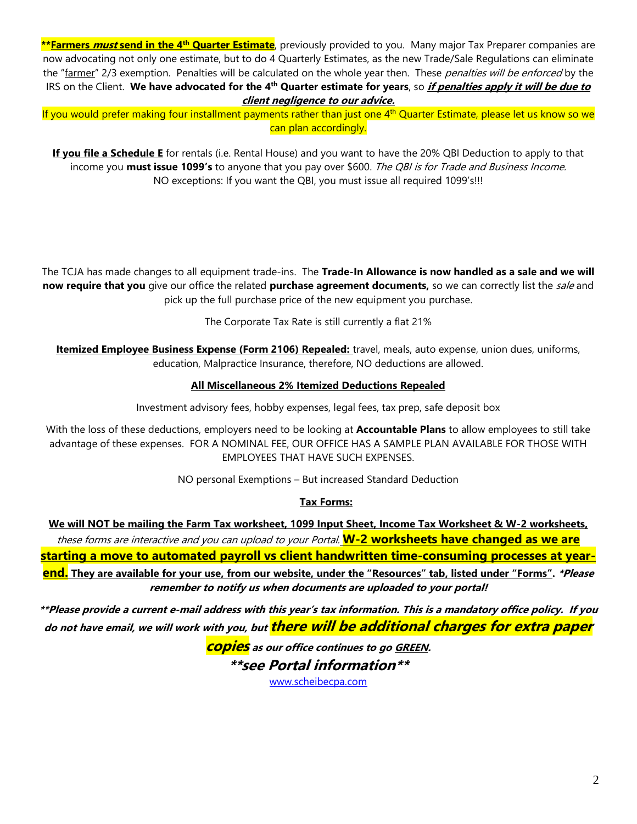**\*\*Farmers must send in the 4th Quarter Estimate**, previously provided to you. Many major Tax Preparer companies are now advocating not only one estimate, but to do 4 Quarterly Estimates, as the new Trade/Sale Regulations can eliminate the "farmer" 2/3 exemption. Penalties will be calculated on the whole year then. These penalties will be enforced by the IRS on the Client. We have advocated for the 4<sup>th</sup> Quarter estimate for years, so *if penalties apply it will be due to* **client negligence to our advice.**

If you would prefer making four installment payments rather than just one 4<sup>th</sup> Quarter Estimate, please let us know so we can plan accordingly.

**If you file a Schedule E** for rentals (i.e. Rental House) and you want to have the 20% QBI Deduction to apply to that income you **must issue 1099's** to anyone that you pay over \$600. The QBI is for Trade and Business Income. NO exceptions: If you want the QBI, you must issue all required 1099's!!!

The TCJA has made changes to all equipment trade-ins. The **Trade-In Allowance is now handled as a sale and we will now require that you** give our office the related **purchase agreement documents**, so we can correctly list the sale and pick up the full purchase price of the new equipment you purchase.

The Corporate Tax Rate is still currently a flat 21%

**Itemized Employee Business Expense (Form 2106) Repealed:** travel, meals, auto expense, union dues, uniforms, education, Malpractice Insurance, therefore, NO deductions are allowed.

### **All Miscellaneous 2% Itemized Deductions Repealed**

Investment advisory fees, hobby expenses, legal fees, tax prep, safe deposit box

With the loss of these deductions, employers need to be looking at **Accountable Plans** to allow employees to still take advantage of these expenses. FOR A NOMINAL FEE, OUR OFFICE HAS A SAMPLE PLAN AVAILABLE FOR THOSE WITH EMPLOYEES THAT HAVE SUCH EXPENSES.

NO personal Exemptions – But increased Standard Deduction

#### **Tax Forms:**

**We will NOT be mailing the Farm Tax worksheet, 1099 Input Sheet, Income Tax Worksheet & W-2 worksheets,**  these forms are interactive and you can upload to your Portal. **W-2 worksheets have changed as we are starting a move to automated payroll vs client handwritten time-consuming processes at yearend. They are available for your use, from our website, under the "Resources" tab, listed under "Forms". \*Please remember to notify us when documents are uploaded to your portal!**

**\*\*Please provide a current e-mail address with this year's tax information. This is a mandatory office policy. If you do not have email, we will work with you, but there will be additional charges for extra paper** 

**copies as our office continues to go GREEN.**

**\*\*see Portal information\*\***

[www.scheibecpa.com](http://www.scheibecpa.com/)